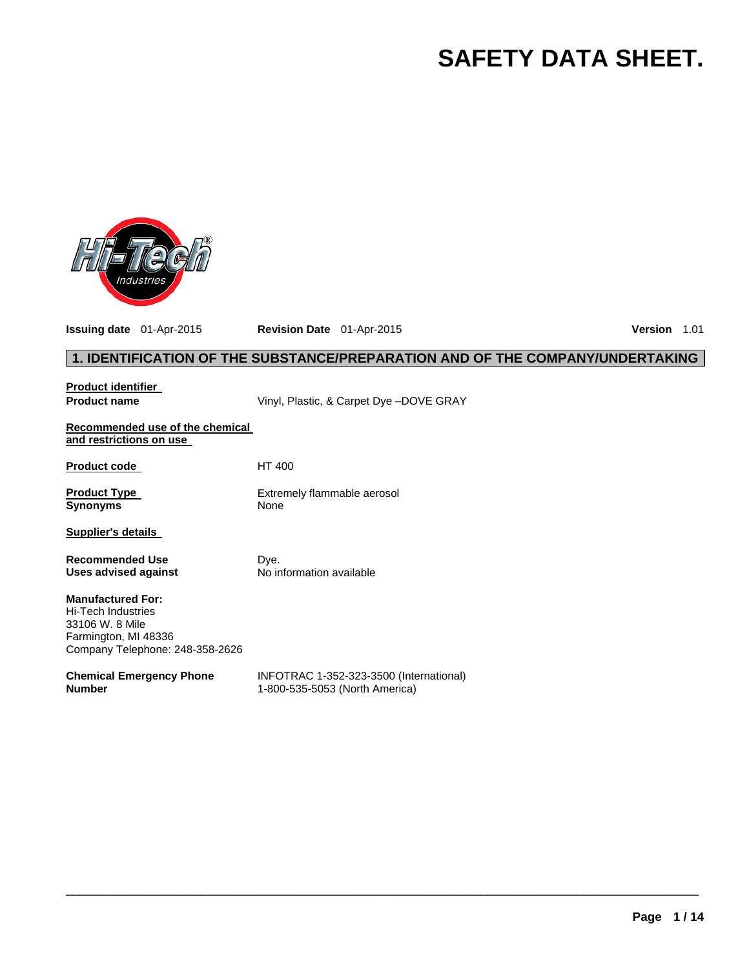# **SAFETY DATA SHEET.**



**Issuing date** 01-Apr-2015 **Revision Date** 01-Apr-2015 **Version** 1.01

# **1. IDENTIFICATION OF THE SUBSTANCE/PREPARATION AND OF THE COMPANY/UNDERTAKING**

| <b>Product identifier</b>                                                                                                           |                                                                           |
|-------------------------------------------------------------------------------------------------------------------------------------|---------------------------------------------------------------------------|
| <b>Product name</b>                                                                                                                 | Vinyl, Plastic, & Carpet Dye -DOVE GRAY                                   |
| Recommended use of the chemical<br>and restrictions on use                                                                          |                                                                           |
| <b>Product code</b>                                                                                                                 | HT 400                                                                    |
| <b>Product Type</b><br><b>Synonyms</b>                                                                                              | Extremely flammable aerosol<br>None                                       |
| <b>Supplier's details</b>                                                                                                           |                                                                           |
| <b>Recommended Use</b><br>Uses advised against                                                                                      | Dye.<br>No information available                                          |
| <b>Manufactured For:</b><br><b>Hi-Tech Industries</b><br>33106 W. 8 Mile<br>Farmington, MI 48336<br>Company Telephone: 248-358-2626 |                                                                           |
| <b>Chemical Emergency Phone</b><br><b>Number</b>                                                                                    | INFOTRAC 1-352-323-3500 (International)<br>1-800-535-5053 (North America) |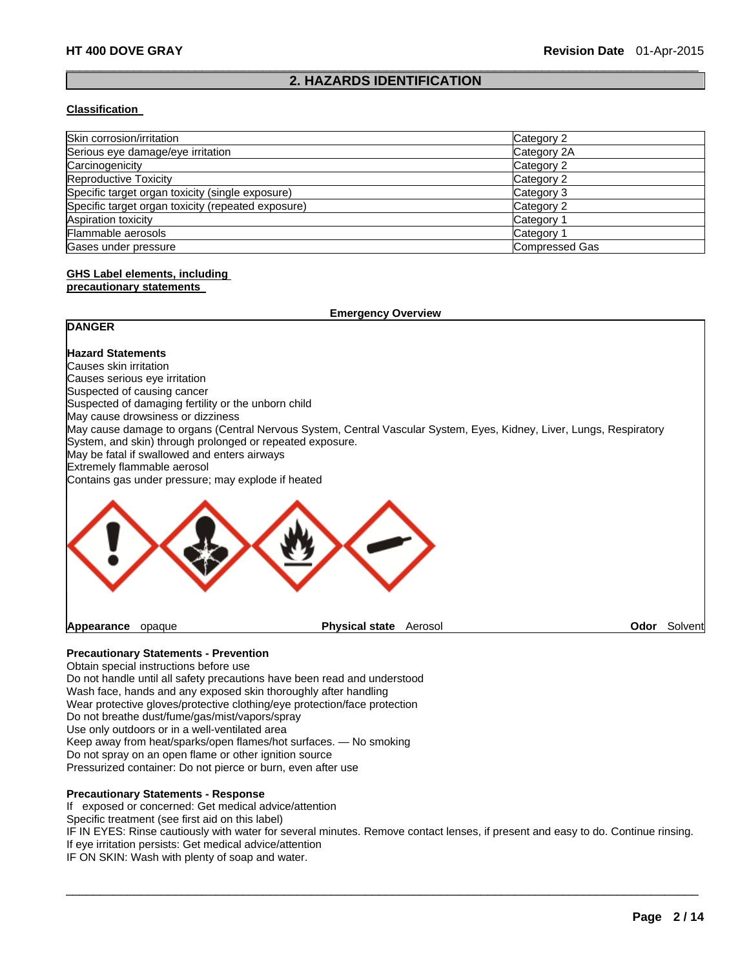#### $\Box$ **2. HAZARDS IDENTIFICATION**

#### **Classification**

| Skin corrosion/irritation                          | Category 2     |
|----------------------------------------------------|----------------|
| Serious eye damage/eye irritation                  | Category 2A    |
| Carcinogenicity                                    | Category 2     |
| <b>Reproductive Toxicity</b>                       | Category 2     |
| Specific target organ toxicity (single exposure)   | Category 3     |
| Specific target organ toxicity (repeated exposure) | Category 2     |
| Aspiration toxicity                                | Category 1     |
| Flammable aerosols                                 | Category 1     |
| Gases under pressure                               | Compressed Gas |

# **GHS Label elements, including**

#### **precautionary statements**

|                                                     | <b>Emergency Overview</b>                                                                                                                                                         |         |
|-----------------------------------------------------|-----------------------------------------------------------------------------------------------------------------------------------------------------------------------------------|---------|
| <b>DANGER</b>                                       |                                                                                                                                                                                   |         |
| <b>Hazard Statements</b>                            |                                                                                                                                                                                   |         |
| Causes skin irritation                              |                                                                                                                                                                                   |         |
| Causes serious eye irritation                       |                                                                                                                                                                                   |         |
| Suspected of causing cancer                         |                                                                                                                                                                                   |         |
| Suspected of damaging fertility or the unborn child |                                                                                                                                                                                   |         |
| May cause drowsiness or dizziness                   |                                                                                                                                                                                   |         |
| May be fatal if swallowed and enters airways        | May cause damage to organs (Central Nervous System, Central Vascular System, Eyes, Kidney, Liver, Lungs, Respiratory<br>System, and skin) through prolonged or repeated exposure. |         |
| Extremely flammable aerosol                         |                                                                                                                                                                                   |         |
| Contains gas under pressure; may explode if heated  |                                                                                                                                                                                   |         |
|                                                     |                                                                                                                                                                                   |         |
| Appearance<br>opaque                                | <b>Physical state</b><br>Aerosol<br>Odor                                                                                                                                          | Solvent |

#### **Precautionary Statements - Prevention**

Obtain special instructions before use Do not handle until all safety precautions have been read and understood Wash face, hands and any exposed skin thoroughly after handling Wear protective gloves/protective clothing/eye protection/face protection Do not breathe dust/fume/gas/mist/vapors/spray Use only outdoors or in a well-ventilated area Keep away from heat/sparks/open flames/hot surfaces. — No smoking Do not spray on an open flame or other ignition source Pressurized container: Do not pierce or burn, even after use

#### **Precautionary Statements - Response**

If exposed or concerned: Get medical advice/attention

Specific treatment (see first aid on this label)

IF IN EYES: Rinse cautiously with water for several minutes. Remove contact lenses, if present and easy to do. Continue rinsing. If eye irritation persists: Get medical advice/attention

 $\Box$ 

IF ON SKIN: Wash with plenty of soap and water.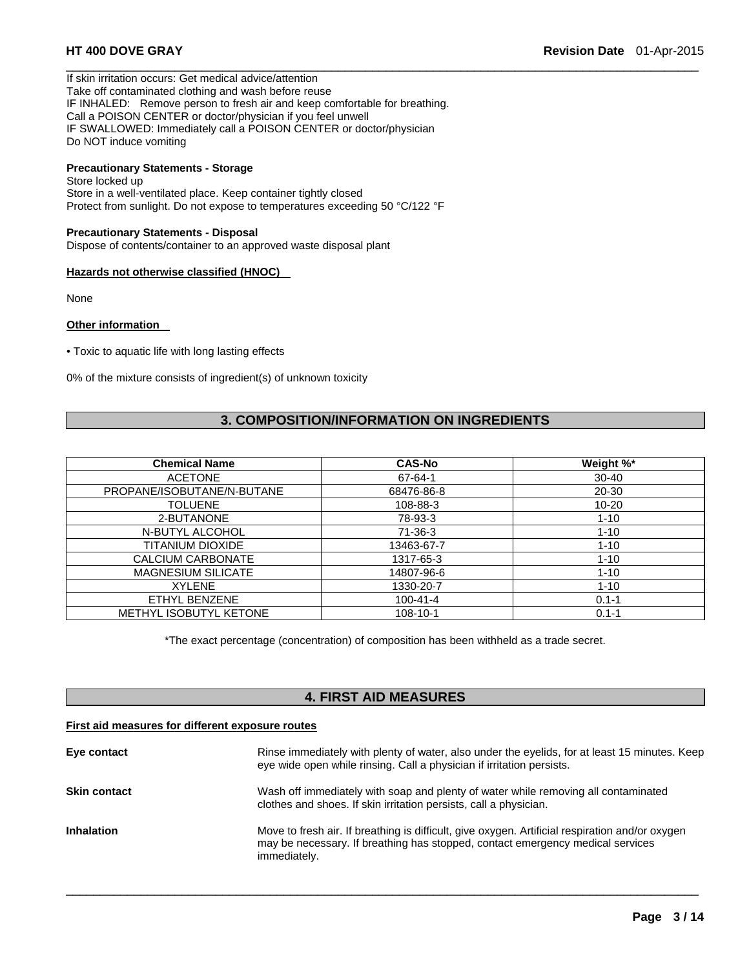If skin irritation occurs: Get medical advice/attention Take off contaminated clothing and wash before reuse IF INHALED: Remove person to fresh air and keep comfortable for breathing. Call a POISON CENTER or doctor/physician if you feel unwell IF SWALLOWED: Immediately call a POISON CENTER or doctor/physician Do NOT induce vomiting

# **Precautionary Statements - Storage**

Store locked up Store in a well-ventilated place. Keep container tightly closed Protect from sunlight. Do not expose to temperatures exceeding 50 °C/122 °F

#### **Precautionary Statements - Disposal**

Dispose of contents/container to an approved waste disposal plant

#### **Hazards not otherwise classified (HNOC)**

None

#### **Other information**

• Toxic to aquatic life with long lasting effects

0% of the mixture consists of ingredient(s) of unknown toxicity

# **3. COMPOSITION/INFORMATION ON INGREDIENTS**

 $\Box$ 

| <b>Chemical Name</b>          | <b>CAS-No</b>  | Weight %* |
|-------------------------------|----------------|-----------|
| <b>ACETONE</b>                | 67-64-1        | $30 - 40$ |
| PROPANE/ISOBUTANE/N-BUTANE    | 68476-86-8     | 20-30     |
| <b>TOLUENE</b>                | 108-88-3       | $10 - 20$ |
| 2-BUTANONE                    | 78-93-3        | $1 - 10$  |
| N-BUTYL ALCOHOL               | 71-36-3        | $1 - 10$  |
| TITANIUM DIOXIDE              | 13463-67-7     | $1 - 10$  |
| CALCIUM CARBONATE             | 1317-65-3      | $1 - 10$  |
| <b>MAGNESIUM SILICATE</b>     | 14807-96-6     | $1 - 10$  |
| <b>XYLENE</b>                 | 1330-20-7      | $1 - 10$  |
| ETHYL BENZENE                 | $100 - 41 - 4$ | $0.1 - 1$ |
| <b>METHYL ISOBUTYL KETONE</b> | $108 - 10 - 1$ | $0.1 - 1$ |

\*The exact percentage (concentration) of composition has been withheld as a trade secret.

# **4. FIRST AID MEASURES**

#### **First aid measures for different exposure routes**

| Eye contact         | Rinse immediately with plenty of water, also under the eyelids, for at least 15 minutes. Keep<br>eye wide open while rinsing. Call a physician if irritation persists.                            |
|---------------------|---------------------------------------------------------------------------------------------------------------------------------------------------------------------------------------------------|
| <b>Skin contact</b> | Wash off immediately with soap and plenty of water while removing all contaminated<br>clothes and shoes. If skin irritation persists, call a physician.                                           |
| <b>Inhalation</b>   | Move to fresh air. If breathing is difficult, give oxygen. Artificial respiration and/or oxygen<br>may be necessary. If breathing has stopped, contact emergency medical services<br>immediately. |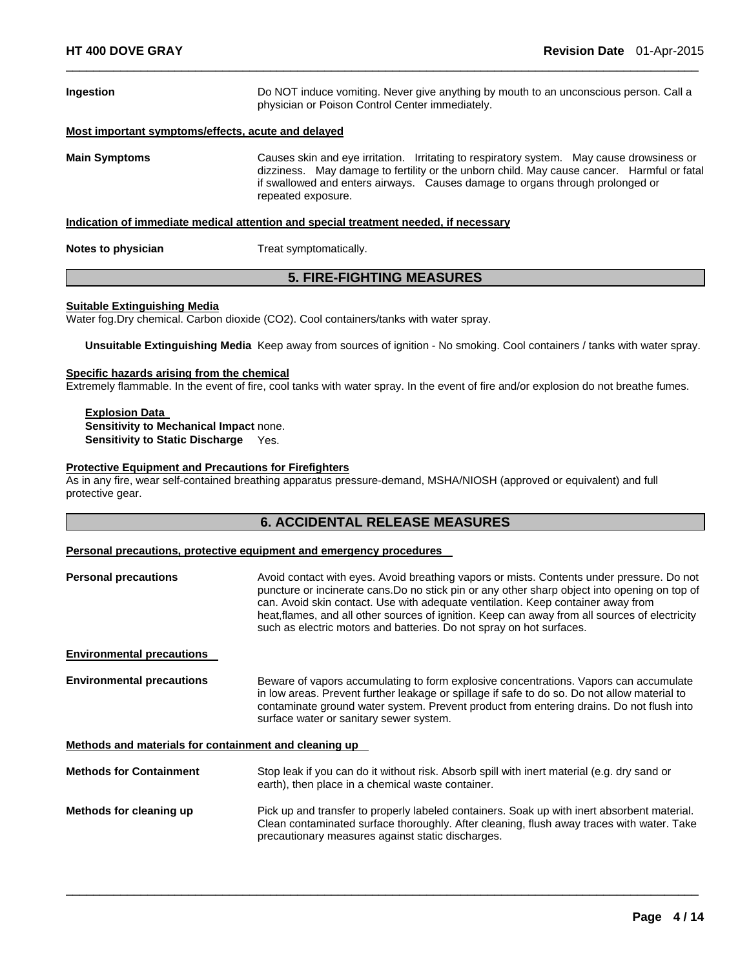| Ingestion                                                                            | Do NOT induce vomiting. Never give anything by mouth to an unconscious person. Call a<br>physician or Poison Control Center immediately.                                                                                                                                                       |  |  |
|--------------------------------------------------------------------------------------|------------------------------------------------------------------------------------------------------------------------------------------------------------------------------------------------------------------------------------------------------------------------------------------------|--|--|
| Most important symptoms/effects, acute and delayed                                   |                                                                                                                                                                                                                                                                                                |  |  |
| <b>Main Symptoms</b>                                                                 | Causes skin and eye irritation. Irritating to respiratory system. May cause drowsiness or<br>dizziness. May damage to fertility or the unborn child. May cause cancer. Harmful or fatal<br>if swallowed and enters airways. Causes damage to organs through prolonged or<br>repeated exposure. |  |  |
| Indication of immediate medical attention and special treatment needed, if necessary |                                                                                                                                                                                                                                                                                                |  |  |
| Notes to physician                                                                   | Treat symptomatically.                                                                                                                                                                                                                                                                         |  |  |
| <b>5. FIRE-FIGHTING MEASURES</b>                                                     |                                                                                                                                                                                                                                                                                                |  |  |

 $\Box$ 

# **Suitable Extinguishing Media**

Water fog.Dry chemical. Carbon dioxide (CO2). Cool containers/tanks with water spray.

**Unsuitable Extinguishing Media** Keep away from sources of ignition - No smoking. Cool containers / tanks with water spray.

#### **Specific hazards arising from the chemical**

Extremely flammable. In the event of fire, cool tanks with water spray. In the event of fire and/or explosion do not breathe fumes.

**Explosion Data Sensitivity to Mechanical Impact** none. **Sensitivity to Static Discharge** Yes.

#### **Protective Equipment and Precautions for Firefighters**

As in any fire, wear self-contained breathing apparatus pressure-demand, MSHA/NIOSH (approved or equivalent) and full protective gear.

#### **6. ACCIDENTAL RELEASE MEASURES**

#### **Personal precautions, protective equipment and emergency procedures**

| <b>Personal precautions</b>                           | Avoid contact with eyes. Avoid breathing vapors or mists. Contents under pressure. Do not<br>puncture or incinerate cans. Do no stick pin or any other sharp object into opening on top of<br>can. Avoid skin contact. Use with adequate ventilation. Keep container away from<br>heat, flames, and all other sources of ignition. Keep can away from all sources of electricity<br>such as electric motors and batteries. Do not spray on hot surfaces. |  |  |
|-------------------------------------------------------|----------------------------------------------------------------------------------------------------------------------------------------------------------------------------------------------------------------------------------------------------------------------------------------------------------------------------------------------------------------------------------------------------------------------------------------------------------|--|--|
| <b>Environmental precautions</b>                      |                                                                                                                                                                                                                                                                                                                                                                                                                                                          |  |  |
| <b>Environmental precautions</b>                      | Beware of vapors accumulating to form explosive concentrations. Vapors can accumulate<br>in low areas. Prevent further leakage or spillage if safe to do so. Do not allow material to<br>contaminate ground water system. Prevent product from entering drains. Do not flush into<br>surface water or sanitary sewer system.                                                                                                                             |  |  |
| Methods and materials for containment and cleaning up |                                                                                                                                                                                                                                                                                                                                                                                                                                                          |  |  |
| <b>Methods for Containment</b>                        | Stop leak if you can do it without risk. Absorb spill with inert material (e.g. dry sand or<br>earth), then place in a chemical waste container.                                                                                                                                                                                                                                                                                                         |  |  |
| Methods for cleaning up                               | Pick up and transfer to properly labeled containers. Soak up with inert absorbent material.<br>Clean contaminated surface thoroughly. After cleaning, flush away traces with water. Take<br>precautionary measures against static discharges.                                                                                                                                                                                                            |  |  |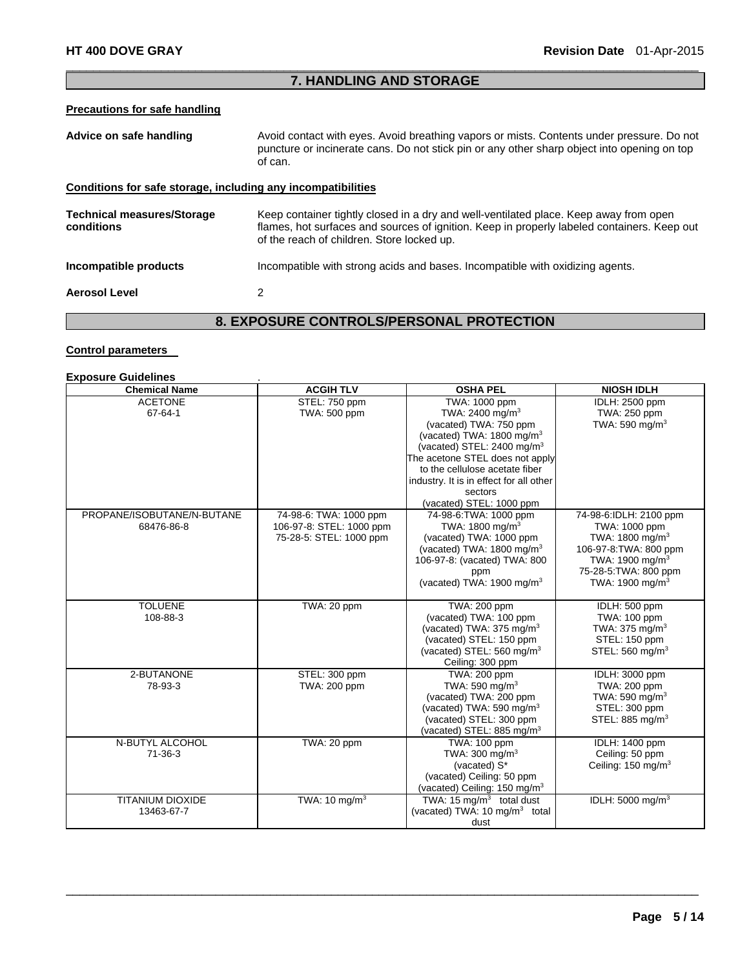### $\Box$ **7. HANDLING AND STORAGE**

# **Precautions for safe handling**

| Advice on safe handling                                      | Avoid contact with eyes. Avoid breathing vapors or mists. Contents under pressure. Do not<br>puncture or incinerate cans. Do not stick pin or any other sharp object into opening on top<br>of can.                                |
|--------------------------------------------------------------|------------------------------------------------------------------------------------------------------------------------------------------------------------------------------------------------------------------------------------|
| Conditions for safe storage, including any incompatibilities |                                                                                                                                                                                                                                    |
| <b>Technical measures/Storage</b><br>conditions              | Keep container tightly closed in a dry and well-ventilated place. Keep away from open<br>flames, hot surfaces and sources of ignition. Keep in properly labeled containers. Keep out<br>of the reach of children. Store locked up. |
| Incompatible products                                        | Incompatible with strong acids and bases. Incompatible with oxidizing agents.                                                                                                                                                      |
| <b>Aerosol Level</b>                                         | 2                                                                                                                                                                                                                                  |

# **8. EXPOSURE CONTROLS/PERSONAL PROTECTION**

### **Control parameters**

# **Exposure Guidelines** .

| <b>Chemical Name</b>       | <b>ACGIH TLV</b>          | <b>OSHA PEL</b>                           | <b>NIOSH IDLH</b>             |
|----------------------------|---------------------------|-------------------------------------------|-------------------------------|
| <b>ACETONE</b>             | STEL: 750 ppm             | TWA: 1000 ppm                             | IDLH: 2500 ppm                |
| 67-64-1                    | TWA: 500 ppm              | TWA: 2400 mg/m <sup>3</sup>               | TWA: 250 ppm                  |
|                            |                           | (vacated) TWA: 750 ppm                    | TWA: 590 mg/m $3$             |
|                            |                           | (vacated) TWA: 1800 mg/m <sup>3</sup>     |                               |
|                            |                           | (vacated) STEL: 2400 mg/m <sup>3</sup>    |                               |
|                            |                           | The acetone STEL does not apply           |                               |
|                            |                           | to the cellulose acetate fiber            |                               |
|                            |                           | industry. It is in effect for all other   |                               |
|                            |                           | sectors                                   |                               |
|                            |                           | (vacated) STEL: 1000 ppm                  |                               |
| PROPANE/ISOBUTANE/N-BUTANE | 74-98-6: TWA: 1000 ppm    | 74-98-6: TWA: 1000 ppm                    | 74-98-6:IDLH: 2100 ppm        |
| 68476-86-8                 | 106-97-8: STEL: 1000 ppm  | TWA: 1800 mg/m <sup>3</sup>               | TWA: 1000 ppm                 |
|                            | 75-28-5: STEL: 1000 ppm   | (vacated) TWA: 1000 ppm                   | TWA: 1800 mg/m <sup>3</sup>   |
|                            |                           | (vacated) TWA: 1800 mg/m <sup>3</sup>     | 106-97-8: TWA: 800 ppm        |
|                            |                           | 106-97-8: (vacated) TWA: 800              | TWA: 1900 mg/m <sup>3</sup>   |
|                            |                           | ppm                                       | 75-28-5: TWA: 800 ppm         |
|                            |                           | (vacated) TWA: 1900 mg/m <sup>3</sup>     | TWA: 1900 mg/m <sup>3</sup>   |
|                            |                           |                                           |                               |
| <b>TOLUENE</b>             | TWA: 20 ppm               | TWA: 200 ppm                              | IDLH: 500 ppm                 |
| 108-88-3                   |                           | (vacated) TWA: 100 ppm                    | TWA: 100 ppm                  |
|                            |                           | (vacated) TWA: 375 mg/m <sup>3</sup>      | TWA: $375 \text{ mg/m}^3$     |
|                            |                           | (vacated) STEL: 150 ppm                   | STEL: 150 ppm                 |
|                            |                           | (vacated) STEL: 560 mg/m <sup>3</sup>     | STEL: 560 mg/m <sup>3</sup>   |
|                            |                           | Ceiling: 300 ppm                          |                               |
| 2-BUTANONE                 | STEL: 300 ppm             | TWA: 200 ppm                              | IDLH: 3000 ppm                |
| 78-93-3                    | TWA: 200 ppm              | TWA: 590 mg/m <sup>3</sup>                | TWA: 200 ppm                  |
|                            |                           | (vacated) TWA: 200 ppm                    | TWA: 590 mg/m <sup>3</sup>    |
|                            |                           | (vacated) TWA: 590 mg/m <sup>3</sup>      | STEL: 300 ppm                 |
|                            |                           | (vacated) STEL: 300 ppm                   | STEL: 885 mg/m <sup>3</sup>   |
|                            |                           | (vacated) STEL: 885 mg/m <sup>3</sup>     |                               |
| N-BUTYL ALCOHOL            | TWA: 20 ppm               | TWA: 100 ppm                              | IDLH: 1400 ppm                |
| $71 - 36 - 3$              |                           | TWA: $300 \text{ mg/m}^3$                 | Ceiling: 50 ppm               |
|                            |                           | (vacated) S*                              | Ceiling: $150 \text{ mg/m}^3$ |
|                            |                           | (vacated) Ceiling: 50 ppm                 |                               |
|                            |                           | (vacated) Ceiling: 150 mg/m <sup>3</sup>  |                               |
| <b>TITANIUM DIOXIDE</b>    | TWA: 10 mg/m <sup>3</sup> | TWA: 15 $mg/m3$ total dust                | IDLH: 5000 mg/m <sup>3</sup>  |
| 13463-67-7                 |                           | (vacated) TWA: 10 mg/m <sup>3</sup> total |                               |
|                            |                           | dust                                      |                               |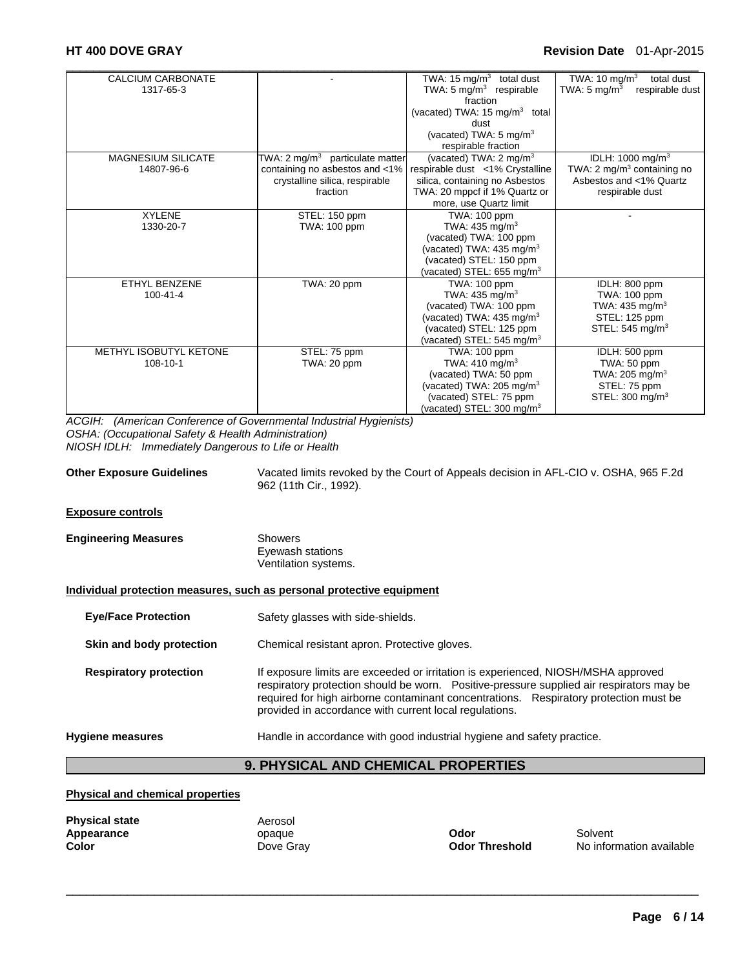| CALCIUM CARBONATE         |                                            | TWA: $15 \text{ mg/m}^3$<br>total dust    | TWA: 10 mg/m $3$<br>total dust              |
|---------------------------|--------------------------------------------|-------------------------------------------|---------------------------------------------|
| 1317-65-3                 |                                            | TWA: $5 \text{ mg/m}^3$ respirable        | TWA: 5 mg/m <sup>3</sup><br>respirable dust |
|                           |                                            | fraction                                  |                                             |
|                           |                                            | (vacated) TWA: 15 mg/m <sup>3</sup> total |                                             |
|                           |                                            | dust                                      |                                             |
|                           |                                            | (vacated) TWA: 5 mg/m <sup>3</sup>        |                                             |
|                           |                                            | respirable fraction                       |                                             |
| <b>MAGNESIUM SILICATE</b> | TWA: $2 \text{ mg/m}^3$ particulate matter | (vacated) TWA: 2 mg/m <sup>3</sup>        | IDLH: 1000 mg/m <sup>3</sup>                |
| 14807-96-6                | containing no asbestos and <1%             | respirable dust <1% Crystalline           | TWA: 2 mg/m <sup>3</sup> containing no      |
|                           | crystalline silica, respirable             | silica, containing no Asbestos            | Asbestos and <1% Quartz                     |
|                           | fraction                                   | TWA: 20 mppcf if 1% Quartz or             | respirable dust                             |
|                           |                                            | more, use Quartz limit                    |                                             |
| <b>XYLENE</b>             | STEL: 150 ppm                              | TWA: 100 ppm                              |                                             |
| 1330-20-7                 | TWA: 100 ppm                               | TWA: $435 \text{ mg/m}^3$                 |                                             |
|                           |                                            | (vacated) TWA: 100 ppm                    |                                             |
|                           |                                            | (vacated) TWA: $435 \text{ mg/m}^3$       |                                             |
|                           |                                            | (vacated) STEL: 150 ppm                   |                                             |
|                           |                                            | (vacated) STEL: 655 mg/m <sup>3</sup>     |                                             |
| ETHYL BENZENE             | TWA: 20 ppm                                | TWA: 100 ppm                              | IDLH: 800 ppm                               |
| $100 - 41 - 4$            |                                            | TWA: 435 mg/m <sup>3</sup>                | TWA: 100 ppm                                |
|                           |                                            | (vacated) TWA: 100 ppm                    | TWA: 435 mg/m <sup>3</sup>                  |
|                           |                                            | (vacated) TWA: 435 mg/m <sup>3</sup>      | STEL: 125 ppm                               |
|                           |                                            | (vacated) STEL: 125 ppm                   | STEL: 545 mg/m <sup>3</sup>                 |
|                           |                                            | (vacated) STEL: 545 mg/m $3$              |                                             |
| METHYL ISOBUTYL KETONE    | STEL: 75 ppm                               | TWA: 100 ppm                              | IDLH: 500 ppm                               |
| 108-10-1                  | TWA: 20 ppm                                | TWA: 410 mg/m <sup>3</sup>                | TWA: 50 ppm                                 |
|                           |                                            | (vacated) TWA: 50 ppm                     | TWA: 205 mg/m <sup>3</sup>                  |
|                           |                                            | (vacated) TWA: 205 mg/m <sup>3</sup>      | STEL: 75 ppm                                |
|                           |                                            | (vacated) STEL: 75 ppm                    | STEL: $300 \text{ mg/m}^3$                  |
|                           |                                            | (vacated) STEL: 300 mg/m <sup>3</sup>     |                                             |

*ACGIH: (American Conference of Governmental Industrial Hygienists) OSHA: (Occupational Safety & Health Administration) NIOSH IDLH: Immediately Dangerous to Life or Health* 

| <b>Other Exposure Guidelines</b> | Vacated limits revoked by the Court of Appeals decision in AFL-CIO v. OSHA, 965 F.2d |
|----------------------------------|--------------------------------------------------------------------------------------|
|                                  | 962 (11th Cir., 1992).                                                               |

#### **Exposure controls**

| <b>Engineering Measures</b> | Showers              |  |
|-----------------------------|----------------------|--|
|                             | Eyewash stations     |  |
|                             | Ventilation systems. |  |

#### **Individual protection measures, such as personal protective equipment**

- **Eye/Face Protection** Safety glasses with side-shields.
- **Skin and body protection Chemical resistant apron. Protective gloves.**
- **Respiratory protection** If exposure limits are exceeded or irritation is experienced, NIOSH/MSHA approved respiratory protection should be worn. Positive-pressure supplied air respirators may be required for high airborne contaminant concentrations. Respiratory protection must be provided in accordance with current local regulations.

#### **Hygiene measures** Handle in accordance with good industrial hygiene and safety practice.

### **9. PHYSICAL AND CHEMICAL PROPERTIES**

 $\Box$ 

### **Physical and chemical properties**

| <b>Physical state</b> | Aerosol   |                       |          |
|-----------------------|-----------|-----------------------|----------|
| Appearance            | opague    | Odor                  | Solvent  |
| Color                 | Dove Grav | <b>Odor Threshold</b> | No infor |

**Dove Gray**  Color **Color Threshold** Mo information available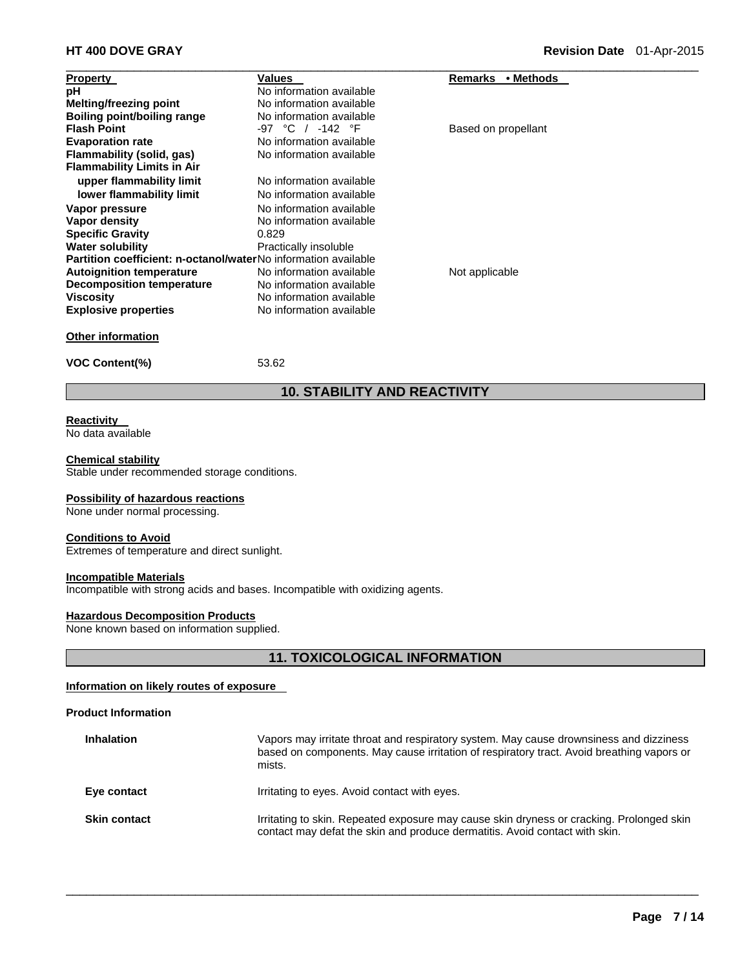| <b>Property</b>                                                       | Values                   | • Methods<br>Remarks |  |
|-----------------------------------------------------------------------|--------------------------|----------------------|--|
| рH                                                                    | No information available |                      |  |
| <b>Melting/freezing point</b>                                         | No information available |                      |  |
| Boiling point/boiling range                                           | No information available |                      |  |
| <b>Flash Point</b>                                                    | -97 °C / -142 °F         | Based on propellant  |  |
| <b>Evaporation rate</b>                                               | No information available |                      |  |
| Flammability (solid, gas)                                             | No information available |                      |  |
| <b>Flammability Limits in Air</b>                                     |                          |                      |  |
| upper flammability limit                                              | No information available |                      |  |
| lower flammability limit                                              | No information available |                      |  |
| Vapor pressure                                                        | No information available |                      |  |
| Vapor density                                                         | No information available |                      |  |
| <b>Specific Gravity</b>                                               | 0.829                    |                      |  |
| <b>Water solubility</b>                                               | Practically insoluble    |                      |  |
| <b>Partition coefficient: n-octanol/waterNo information available</b> |                          |                      |  |
| <b>Autoignition temperature</b>                                       | No information available | Not applicable       |  |
| <b>Decomposition temperature</b>                                      | No information available |                      |  |
| <b>Viscosity</b>                                                      | No information available |                      |  |
| <b>Explosive properties</b>                                           | No information available |                      |  |
| <b>Other information</b>                                              |                          |                      |  |

**VOC Content(%)** 53.62

# **10. STABILITY AND REACTIVITY**

# **Reactivity**

No data available

#### **Chemical stability**

Stable under recommended storage conditions.

#### **Possibility of hazardous reactions**

None under normal processing.

#### **Conditions to Avoid**

Extremes of temperature and direct sunlight.

#### **Incompatible Materials**

Incompatible with strong acids and bases. Incompatible with oxidizing agents.

#### **Hazardous Decomposition Products**

None known based on information supplied.

# **11. TOXICOLOGICAL INFORMATION**

# **Information on likely routes of exposure**

# **Product Information**

| <b>Inhalation</b>   | Vapors may irritate throat and respiratory system. May cause drownsiness and dizziness<br>based on components. May cause irritation of respiratory tract. Avoid breathing vapors or<br>mists. |
|---------------------|-----------------------------------------------------------------------------------------------------------------------------------------------------------------------------------------------|
| Eye contact         | Irritating to eyes. Avoid contact with eyes.                                                                                                                                                  |
| <b>Skin contact</b> | Irritating to skin. Repeated exposure may cause skin dryness or cracking. Prolonged skin<br>contact may defat the skin and produce dermatitis. Avoid contact with skin.                       |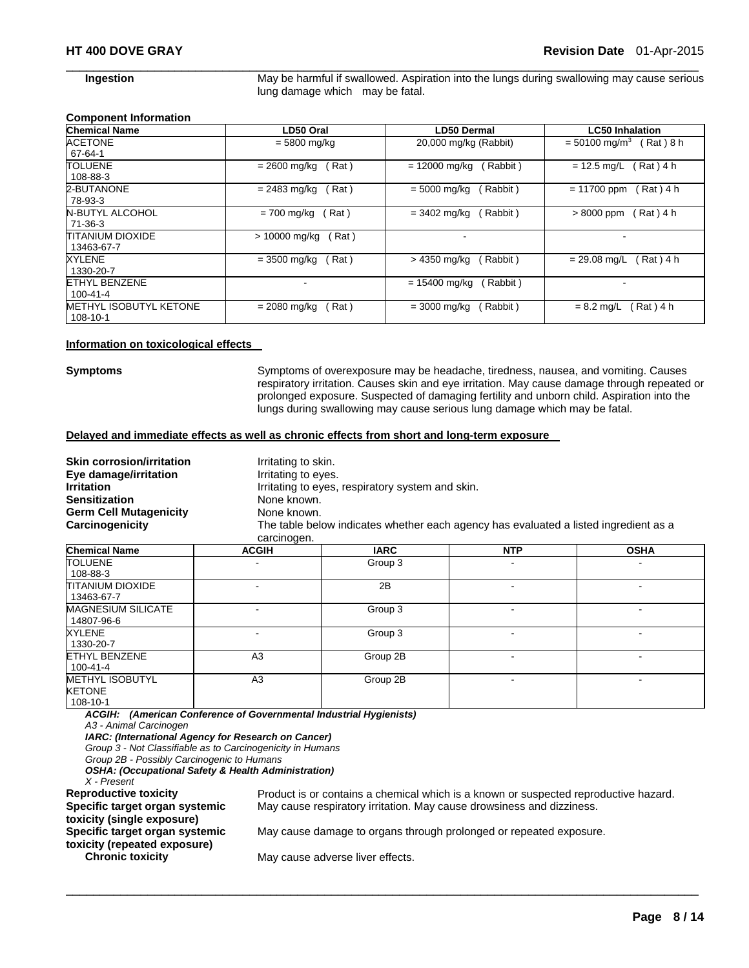**Ingestion May be harmful if swallowed. Aspiration into the lungs during swallowing may cause serious** lung damage which may be fatal.

#### **Component Information**

| <b>Chemical Name</b>                   | LD50 Oral             | LD50 Dermal                | <b>LC50 Inhalation</b>                  |
|----------------------------------------|-----------------------|----------------------------|-----------------------------------------|
| <b>ACETONE</b><br>67-64-1              | $= 5800$ mg/kg        | 20,000 mg/kg (Rabbit)      | $= 50100$ mg/m <sup>3</sup><br>Rat) 8 h |
| <b>TOLUENE</b>                         | Rat)                  | $= 12000$ mg/kg            | (Rat) 4 h                               |
| 108-88-3                               | = 2600 mg/kg          | Rabbit)                    | $= 12.5$ mg/L                           |
| 2-BUTANONE                             | $= 2483$ mg/kg        | $= 5000 \text{ mg/kg}$     | $= 11700$ ppm                           |
| 78-93-3                                | Rat)                  | Rabbit)                    | $Rat)$ 4 h                              |
| <b>N-BUTYL ALCOHOL</b>                 | Rat)                  | (Rabbit)                   | (Rat)4 h                                |
| 71-36-3                                | $= 700$ mg/kg         | $= 3402 \text{ mg/kg}$     | $>8000$ ppm                             |
| <b>TITANIUM DIOXIDE</b><br>13463-67-7  | > 10000 mg/kg<br>Rat) | $\overline{\phantom{a}}$   |                                         |
| <b>XYLENE</b>                          | $= 3500$ mg/kg        | > 4350 mg/kg               | Rat ) 4 h                               |
| 1330-20-7                              | Rat)                  | (Rabbit)                   | $= 29.08$ mg/L                          |
| <b>ETHYL BENZENE</b><br>$100 - 41 - 4$ |                       | $= 15400$ mg/kg<br>Rabbit) |                                         |
| <b>METHYL ISOBUTYL KETONE</b>          | Rat)                  | (Rabbit)                   | Rat ) 4 h                               |
| 108-10-1                               | $= 2080$ mg/kg        | $= 3000$ mg/kg             | $= 8.2$ mg/L                            |

 $\Box$ 

#### **Information on toxicological effects**

**Symptoms** Symptoms of overexposure may be headache, tiredness, nausea, and vomiting. Causes respiratory irritation. Causes skin and eye irritation. May cause damage through repeated or prolonged exposure. Suspected of damaging fertility and unborn child. Aspiration into the lungs during swallowing may cause serious lung damage which may be fatal.

#### **Delayed and immediate effects as well as chronic effects from short and long-term exposure**

| <b>Skin corrosion/irritation</b><br>Eye damage/irritation |             | Irritating to skin.<br>Irritating to eyes.       |                                                                                      |               |
|-----------------------------------------------------------|-------------|--------------------------------------------------|--------------------------------------------------------------------------------------|---------------|
| <b>Irritation</b>                                         |             | Irritating to eyes, respiratory system and skin. |                                                                                      |               |
| <b>Sensitization</b>                                      |             | None known.                                      |                                                                                      |               |
| <b>Germ Cell Mutagenicity</b>                             |             | None known.                                      |                                                                                      |               |
| Carcinogenicity                                           | carcinogen. |                                                  | The table below indicates whether each agency has evaluated a listed ingredient as a |               |
| Oh smithed Manuel                                         | .           | 100C                                             | <b>NTD</b>                                                                           | $\sim$ $\sim$ |

| <b>Chemical Name</b>      | <b>ACGIH</b>             | <b>IARC</b> | <b>NTP</b> | <b>OSHA</b> |
|---------------------------|--------------------------|-------------|------------|-------------|
| <b>TOLUENE</b>            |                          | Group 3     |            |             |
| 108-88-3                  |                          |             |            |             |
| <b>TITANIUM DIOXIDE</b>   | $\overline{\phantom{a}}$ | 2B          |            | -           |
| 13463-67-7                |                          |             |            |             |
| <b>MAGNESIUM SILICATE</b> | ۰                        | Group 3     |            |             |
| 14807-96-6                |                          |             |            |             |
| <b>XYLENE</b>             |                          | Group 3     | -          |             |
| 1330-20-7                 |                          |             |            |             |
| <b>ETHYL BENZENE</b>      | A <sub>3</sub>           | Group 2B    |            | -           |
| 100-41-4                  |                          |             |            |             |
| <b>METHYL ISOBUTYL</b>    | A <sub>3</sub>           | Group 2B    |            |             |
| <b>KETONE</b>             |                          |             |            |             |
| 108-10-1                  |                          |             |            |             |

 $\Box$ 

*ACGIH: (American Conference of Governmental Industrial Hygienists) A3 - Animal Carcinogen* 

*IARC: (International Agency for Research on Cancer)* 

*Group 3 - Not Classifiable as to Carcinogenicity in Humans* 

*Group 2B - Possibly Carcinogenic to Humans* 

*OSHA: (Occupational Safety & Health Administration)* 

*X - Present* 

**Specific target organ systemic toxicity (single exposure) Specific target organ systemic toxicity (repeated exposure)** 

**Reproductive toxicity** Product is or contains a chemical which is a known or suspected reproductive hazard. May cause respiratory irritation. May cause drowsiness and dizziness.

May cause damage to organs through prolonged or repeated exposure.

May cause adverse liver effects.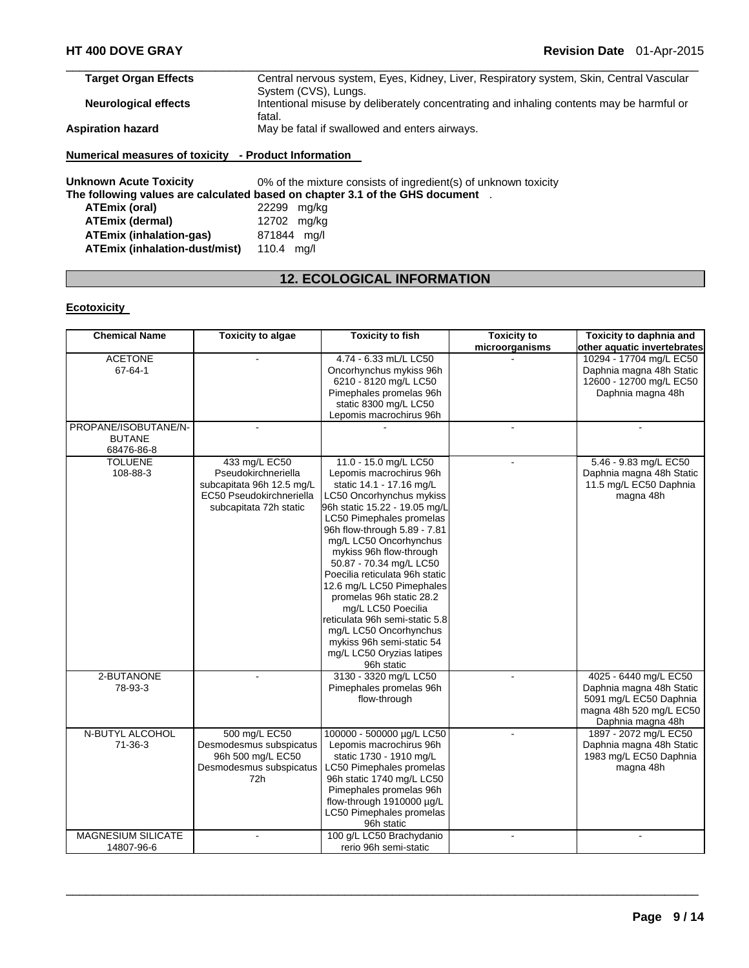| <b>Target Organ Effects</b> | Central nervous system, Eyes, Kidney, Liver, Respiratory system, Skin, Central Vascular  |
|-----------------------------|------------------------------------------------------------------------------------------|
|                             | System (CVS), Lungs.                                                                     |
| <b>Neurological effects</b> | Intentional misuse by deliberately concentrating and inhaling contents may be harmful or |
|                             | fatal.                                                                                   |
| <b>Aspiration hazard</b>    | May be fatal if swallowed and enters airways.                                            |
|                             |                                                                                          |

### **Numerical measures of toxicity - Product Information**

**Unknown Acute Toxicity** 0% of the mixture consists of ingredient(s) of unknown toxicity **The following values are calculated based on chapter 3.1 of the GHS document** . **ATEmix (oral)** 22299 mg/kg **ATEmix (dermal)** 12702 mg/kg **ATEmix (inhalation-gas)** 871844 mg/l **ATEmix (inhalation-dust/mist)** 110.4 mg/l

# **12. ECOLOGICAL INFORMATION**

#### **Ecotoxicity**

| <b>Chemical Name</b>      | <b>Toxicity to algae</b>  | <b>Toxicity to fish</b>        | <b>Toxicity to</b> | Toxicity to daphnia and     |
|---------------------------|---------------------------|--------------------------------|--------------------|-----------------------------|
|                           |                           |                                | microorganisms     | other aquatic invertebrates |
| <b>ACETONE</b>            |                           | 4.74 - 6.33 mL/L LC50          |                    | 10294 - 17704 mg/L EC50     |
| 67-64-1                   |                           | Oncorhynchus mykiss 96h        |                    | Daphnia magna 48h Static    |
|                           |                           | 6210 - 8120 mg/L LC50          |                    | 12600 - 12700 mg/L EC50     |
|                           |                           | Pimephales promelas 96h        |                    | Daphnia magna 48h           |
|                           |                           | static 8300 mg/L LC50          |                    |                             |
|                           |                           | Lepomis macrochirus 96h        |                    |                             |
| PROPANE/ISOBUTANE/N-      |                           |                                |                    |                             |
| <b>BUTANE</b>             |                           |                                |                    |                             |
| 68476-86-8                |                           |                                |                    |                             |
| <b>TOLUENE</b>            | 433 mg/L EC50             | 11.0 - 15.0 mg/L LC50          |                    | 5.46 - 9.83 mg/L EC50       |
| 108-88-3                  | Pseudokirchneriella       | Lepomis macrochirus 96h        |                    | Daphnia magna 48h Static    |
|                           | subcapitata 96h 12.5 mg/L | static 14.1 - 17.16 mg/L       |                    | 11.5 mg/L EC50 Daphnia      |
|                           | EC50 Pseudokirchneriella  | LC50 Oncorhynchus mykiss       |                    | magna 48h                   |
|                           | subcapitata 72h static    | 96h static 15.22 - 19.05 mg/L  |                    |                             |
|                           |                           | LC50 Pimephales promelas       |                    |                             |
|                           |                           | 96h flow-through 5.89 - 7.81   |                    |                             |
|                           |                           | mg/L LC50 Oncorhynchus         |                    |                             |
|                           |                           | mykiss 96h flow-through        |                    |                             |
|                           |                           | 50.87 - 70.34 mg/L LC50        |                    |                             |
|                           |                           | Poecilia reticulata 96h static |                    |                             |
|                           |                           | 12.6 mg/L LC50 Pimephales      |                    |                             |
|                           |                           | promelas 96h static 28.2       |                    |                             |
|                           |                           | mg/L LC50 Poecilia             |                    |                             |
|                           |                           | reticulata 96h semi-static 5.8 |                    |                             |
|                           |                           | mg/L LC50 Oncorhynchus         |                    |                             |
|                           |                           | mykiss 96h semi-static 54      |                    |                             |
|                           |                           | mg/L LC50 Oryzias latipes      |                    |                             |
|                           |                           | 96h static                     |                    |                             |
| 2-BUTANONE                |                           | 3130 - 3320 mg/L LC50          |                    | 4025 - 6440 mg/L EC50       |
| 78-93-3                   |                           | Pimephales promelas 96h        |                    | Daphnia magna 48h Static    |
|                           |                           | flow-through                   |                    | 5091 mg/L EC50 Daphnia      |
|                           |                           |                                |                    | magna 48h 520 mg/L EC50     |
|                           |                           |                                |                    | Daphnia magna 48h           |
| N-BUTYL ALCOHOL           | 500 mg/L EC50             | 100000 - 500000 µg/L LC50      |                    | 1897 - 2072 mg/L EC50       |
| 71-36-3                   | Desmodesmus subspicatus   | Lepomis macrochirus 96h        |                    | Daphnia magna 48h Static    |
|                           | 96h 500 mg/L EC50         | static 1730 - 1910 mg/L        |                    | 1983 mg/L EC50 Daphnia      |
|                           | Desmodesmus subspicatus   | LC50 Pimephales promelas       |                    | magna 48h                   |
|                           | 72h                       | 96h static 1740 mg/L LC50      |                    |                             |
|                           |                           | Pimephales promelas 96h        |                    |                             |
|                           |                           | flow-through 1910000 µg/L      |                    |                             |
|                           |                           | LC50 Pimephales promelas       |                    |                             |
|                           |                           | 96h static                     |                    |                             |
| <b>MAGNESIUM SILICATE</b> |                           | 100 g/L LC50 Brachydanio       |                    |                             |
| 14807-96-6                |                           | rerio 96h semi-static          |                    |                             |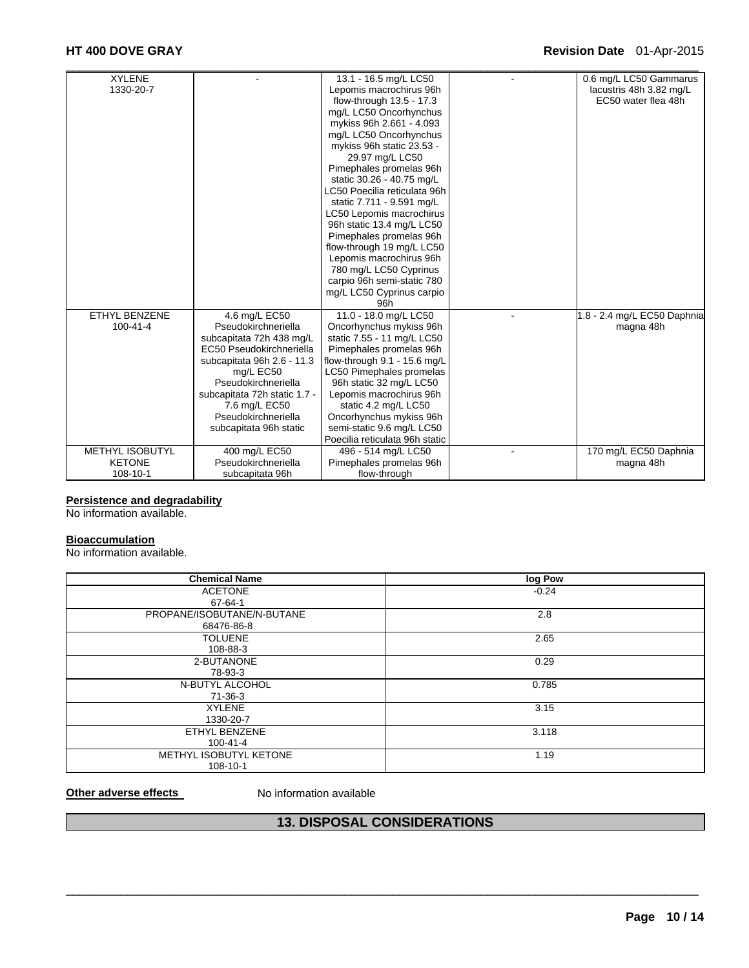# **HT 400 DOVE GRAY Revision Date** 01-Apr-2015

| <b>XYLENE</b>          |                              | 13.1 - 16.5 mg/L LC50           | 0.6 mg/L LC50 Gammarus      |
|------------------------|------------------------------|---------------------------------|-----------------------------|
| 1330-20-7              |                              | Lepomis macrochirus 96h         | lacustris 48h 3.82 mg/L     |
|                        |                              | flow-through 13.5 - 17.3        | EC50 water flea 48h         |
|                        |                              | mg/L LC50 Oncorhynchus          |                             |
|                        |                              | mykiss 96h 2.661 - 4.093        |                             |
|                        |                              | mg/L LC50 Oncorhynchus          |                             |
|                        |                              | mykiss 96h static 23.53 -       |                             |
|                        |                              | 29.97 mg/L LC50                 |                             |
|                        |                              | Pimephales promelas 96h         |                             |
|                        |                              | static 30.26 - 40.75 mg/L       |                             |
|                        |                              | LC50 Poecilia reticulata 96h    |                             |
|                        |                              | static 7.711 - 9.591 mg/L       |                             |
|                        |                              | LC50 Lepomis macrochirus        |                             |
|                        |                              | 96h static 13.4 mg/L LC50       |                             |
|                        |                              | Pimephales promelas 96h         |                             |
|                        |                              | flow-through 19 mg/L LC50       |                             |
|                        |                              | Lepomis macrochirus 96h         |                             |
|                        |                              | 780 mg/L LC50 Cyprinus          |                             |
|                        |                              | carpio 96h semi-static 780      |                             |
|                        |                              | mg/L LC50 Cyprinus carpio       |                             |
|                        |                              | 96h                             |                             |
| <b>ETHYL BENZENE</b>   | 4.6 mg/L EC50                | 11.0 - 18.0 mg/L LC50           | 1.8 - 2.4 mg/L EC50 Daphnia |
| $100 - 41 - 4$         | Pseudokirchneriella          | Oncorhynchus mykiss 96h         | magna 48h                   |
|                        | subcapitata 72h 438 mg/L     | static 7.55 - 11 mg/L LC50      |                             |
|                        | EC50 Pseudokirchneriella     | Pimephales promelas 96h         |                             |
|                        | subcapitata 96h 2.6 - 11.3   | flow-through 9.1 - 15.6 mg/L    |                             |
|                        | mg/L EC50                    | <b>LC50 Pimephales promelas</b> |                             |
|                        | Pseudokirchneriella          | 96h static 32 mg/L LC50         |                             |
|                        | subcapitata 72h static 1.7 - | Lepomis macrochirus 96h         |                             |
|                        | 7.6 mg/L EC50                | static 4.2 mg/L LC50            |                             |
|                        | Pseudokirchneriella          | Oncorhynchus mykiss 96h         |                             |
|                        | subcapitata 96h static       | semi-static 9.6 mg/L LC50       |                             |
|                        |                              | Poecilia reticulata 96h static  |                             |
| <b>METHYL ISOBUTYL</b> | 400 mg/L EC50                | 496 - 514 mg/L LC50             | 170 mg/L EC50 Daphnia       |
| <b>KETONE</b>          | Pseudokirchneriella          | Pimephales promelas 96h         | magna 48h                   |
| 108-10-1               | subcapitata 96h              | flow-through                    |                             |

#### **Persistence and degradability**

No information available.

# **Bioaccumulation**

No information available.

| <b>Chemical Name</b>       | log Pow |
|----------------------------|---------|
| <b>ACETONE</b>             | $-0.24$ |
| 67-64-1                    |         |
| PROPANE/ISOBUTANE/N-BUTANE | 2.8     |
| 68476-86-8                 |         |
| <b>TOLUENE</b>             | 2.65    |
| 108-88-3                   |         |
| 2-BUTANONE                 | 0.29    |
| 78-93-3                    |         |
| N-BUTYL ALCOHOL            | 0.785   |
| 71-36-3                    |         |
| <b>XYLENE</b>              | 3.15    |
| 1330-20-7                  |         |
| ETHYL BENZENE              | 3.118   |
| $100 - 41 - 4$             |         |
| METHYL ISOBUTYL KETONE     | 1.19    |
| 108-10-1                   |         |

**Other adverse effects** No information available

# **13. DISPOSAL CONSIDERATIONS**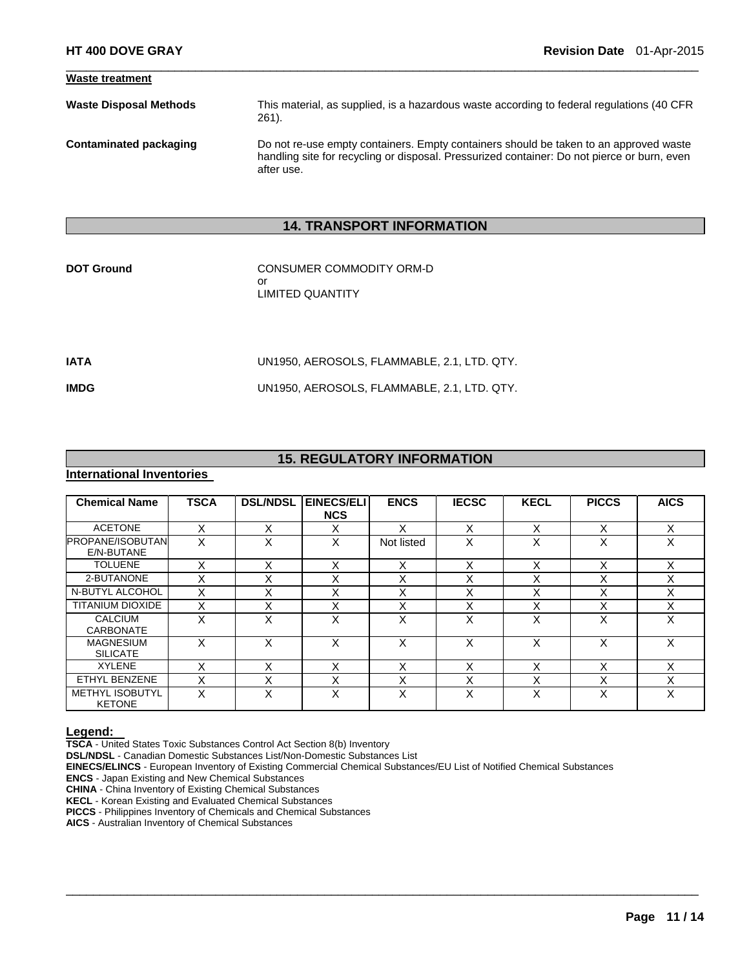| <b>Waste treatment</b>        |                                                                                                                                                                                                    |
|-------------------------------|----------------------------------------------------------------------------------------------------------------------------------------------------------------------------------------------------|
| <b>Waste Disposal Methods</b> | This material, as supplied, is a hazardous waste according to federal regulations (40 CFR<br>$261$ .                                                                                               |
| Contaminated packaging        | Do not re-use empty containers. Empty containers should be taken to an approved waste<br>handling site for recycling or disposal. Pressurized container: Do not pierce or burn, even<br>after use. |

 $\Box$ 

# **14. TRANSPORT INFORMATION**

| <b>DOT Ground</b> | CONSUMER COMMODITY ORM-D |
|-------------------|--------------------------|
|                   | Ωr                       |
|                   | LIMITED QUANTITY         |
|                   |                          |

| IATA        | UN1950. AEROSOLS. FLAMMABLE. 2.1. LTD. QTY. |
|-------------|---------------------------------------------|
| <b>IMDG</b> | UN1950. AEROSOLS. FLAMMABLE. 2.1. LTD. QTY. |

# **15. REGULATORY INFORMATION**

# **International Inventories**

| <b>Chemical Name</b>                    | <b>TSCA</b> | <b>DSL/NDSL</b>   | <b>EINECS/ELI</b><br><b>NCS</b> | <b>ENCS</b> | <b>IECSC</b>      | <b>KECL</b>       | <b>PICCS</b>      | <b>AICS</b> |
|-----------------------------------------|-------------|-------------------|---------------------------------|-------------|-------------------|-------------------|-------------------|-------------|
| <b>ACETONE</b>                          | X           | X                 | X                               | x           | X                 | X                 | X                 | X           |
| <b>PROPANE/ISOBUTAN</b><br>E/N-BUTANE   | X           | X                 | X                               | Not listed  | X                 | x                 | $\check{ }$<br>⋏  | X           |
| <b>TOLUENE</b>                          | X           | X                 | X                               | X           | X                 | X                 | ⋏                 | X           |
| 2-BUTANONE                              | X           | X                 | X                               | X           | X                 | $\checkmark$<br>⌒ | $\check{ }$<br>v  | X           |
| N-BUTYL ALCOHOL                         | X           | X                 | X                               | Χ           | X                 | X                 | x                 | X           |
| <b>TITANIUM DIOXIDE</b>                 | X           | $\checkmark$<br>ᄉ | X                               | v<br>⋏      | $\checkmark$<br>ᆺ | v                 | ^                 | X           |
| <b>CALCIUM</b><br><b>CARBONATE</b>      | Χ           | X                 | X                               | Χ           | X                 | $\checkmark$<br>⌒ | X                 | X           |
| <b>MAGNESIUM</b><br><b>SILICATE</b>     | x           | x                 | X                               | x           | X                 | x                 | X                 | X           |
| <b>XYLENE</b>                           |             | $\checkmark$      | Χ                               | Χ           | X                 | $\checkmark$      |                   | x           |
| ETHYL BENZENE                           | X           | X                 | X                               | Χ           | X                 | X                 | x                 | X           |
| <b>METHYL ISOBUTYL</b><br><b>KETONE</b> | x           | x                 | X                               | x           | X                 | X                 | $\checkmark$<br>⋏ | X           |

 $\Box$ 

**Legend: TSCA** - United States Toxic Substances Control Act Section 8(b) Inventory

**DSL/NDSL** - Canadian Domestic Substances List/Non-Domestic Substances List

**EINECS/ELINCS** - European Inventory of Existing Commercial Chemical Substances/EU List of Notified Chemical Substances

**ENCS** - Japan Existing and New Chemical Substances

**CHINA** - China Inventory of Existing Chemical Substances

**KECL** - Korean Existing and Evaluated Chemical Substances

**PICCS** - Philippines Inventory of Chemicals and Chemical Substances

**AICS** - Australian Inventory of Chemical Substances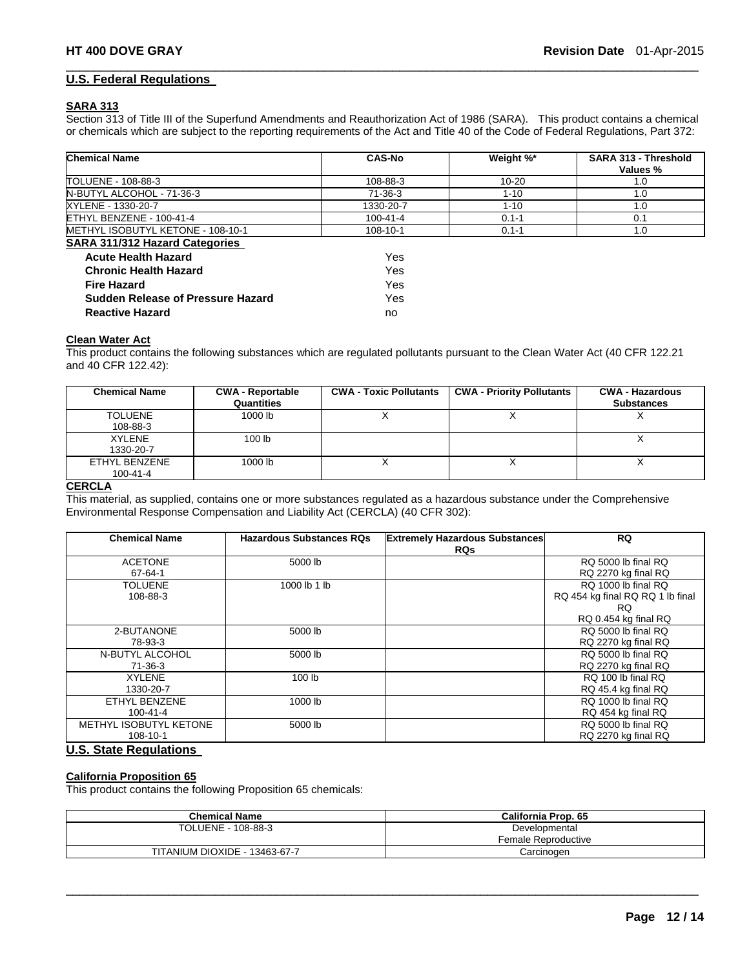#### **U.S. Federal Regulations**

#### **SARA 313**

Section 313 of Title III of the Superfund Amendments and Reauthorization Act of 1986 (SARA). This product contains a chemical or chemicals which are subject to the reporting requirements of the Act and Title 40 of the Code of Federal Regulations, Part 372:

 $\Box$ 

| <b>Chemical Name</b>                     | <b>CAS-No</b>  | Weight %* | SARA 313 - Threshold<br>Values % |
|------------------------------------------|----------------|-----------|----------------------------------|
| TOLUENE - 108-88-3                       | 108-88-3       | $10 - 20$ | 1.0                              |
| N-BUTYL ALCOHOL - 71-36-3                | 71-36-3        | $1 - 10$  | 1.0                              |
| XYLENE - 1330-20-7                       | 1330-20-7      | $1 - 10$  | 1.0                              |
| ETHYL BENZENE - 100-41-4                 | $100 - 41 - 4$ | $0.1 - 1$ | 0.1                              |
| METHYL ISOBUTYL KETONE - 108-10-1        | 108-10-1       | $0.1 - 1$ | 1.0                              |
| <b>SARA 311/312 Hazard Categories</b>    |                |           |                                  |
| <b>Acute Health Hazard</b>               | Yes            |           |                                  |
| <b>Chronic Health Hazard</b>             | Yes            |           |                                  |
| <b>Fire Hazard</b>                       | Yes            |           |                                  |
| <b>Sudden Release of Pressure Hazard</b> | Yes            |           |                                  |
| <b>Reactive Hazard</b>                   | no             |           |                                  |

#### **Clean Water Act**

This product contains the following substances which are regulated pollutants pursuant to the Clean Water Act (40 CFR 122.21 and 40 CFR 122.42):

| <b>Chemical Name</b> | <b>CWA - Reportable</b><br>Quantities | <b>CWA - Toxic Pollutants</b> | <b>CWA - Priority Pollutants</b> | <b>CWA - Hazardous</b><br><b>Substances</b> |
|----------------------|---------------------------------------|-------------------------------|----------------------------------|---------------------------------------------|
| <b>TOLUENE</b>       | 1000 lb                               |                               |                                  |                                             |
| 108-88-3             |                                       |                               |                                  |                                             |
| <b>XYLENE</b>        | 100 <sub>lb</sub>                     |                               |                                  |                                             |
| 1330-20-7            |                                       |                               |                                  |                                             |
| ETHYL BENZENE        | 1000 lb                               |                               |                                  |                                             |
| $100 - 41 - 4$       |                                       |                               |                                  |                                             |

#### **CERCLA**

This material, as supplied, contains one or more substances regulated as a hazardous substance under the Comprehensive Environmental Response Compensation and Liability Act (CERCLA) (40 CFR 302):

| <b>Chemical Name</b>   | <b>Hazardous Substances RQs</b> | <b>Extremely Hazardous Substances</b> | <b>RQ</b>                        |
|------------------------|---------------------------------|---------------------------------------|----------------------------------|
|                        |                                 | <b>RQs</b>                            |                                  |
| <b>ACETONE</b>         | 5000 lb                         |                                       | RQ 5000 lb final RQ              |
| $67 - 64 - 1$          |                                 |                                       | RQ 2270 kg final RQ              |
| TOLUENE                | 1000 lb 1 lb                    |                                       | RQ 1000 lb final RQ              |
| 108-88-3               |                                 |                                       | RQ 454 kg final RQ RQ 1 lb final |
|                        |                                 |                                       | RQ.                              |
|                        |                                 |                                       | RQ 0.454 kg final RQ             |
| 2-BUTANONE             | 5000 lb                         |                                       | RQ 5000 lb final RQ              |
| 78-93-3                |                                 |                                       | RQ 2270 kg final RQ              |
| N-BUTYL ALCOHOL        | 5000 lb                         |                                       | RQ 5000 lb final RQ              |
| $71-36-3$              |                                 |                                       | RQ 2270 kg final RQ              |
| <b>XYLENE</b>          | 100 lb                          |                                       | RQ 100 lb final RQ               |
| 1330-20-7              |                                 |                                       | RQ 45.4 kg final RQ              |
| ETHYL BENZENE          | 1000 lb                         |                                       | RQ 1000 lb final RQ              |
| $100 - 41 - 4$         |                                 |                                       | RQ 454 kg final RQ               |
| METHYL ISOBUTYL KETONE | 5000 lb                         |                                       | RQ 5000 lb final RQ              |
| 108-10-1               |                                 |                                       | RQ 2270 kg final RQ              |

# **U.S. State Regulations**

#### **California Proposition 65**

This product contains the following Proposition 65 chemicals:

| <b>Chemical Name</b>          | California Prop. 65                  |
|-------------------------------|--------------------------------------|
| TOLUENE - 108-88-3            | Developmental<br>Female Reproductive |
| TITANIUM DIOXIDE - 13463-67-7 | Carcinoɑen                           |